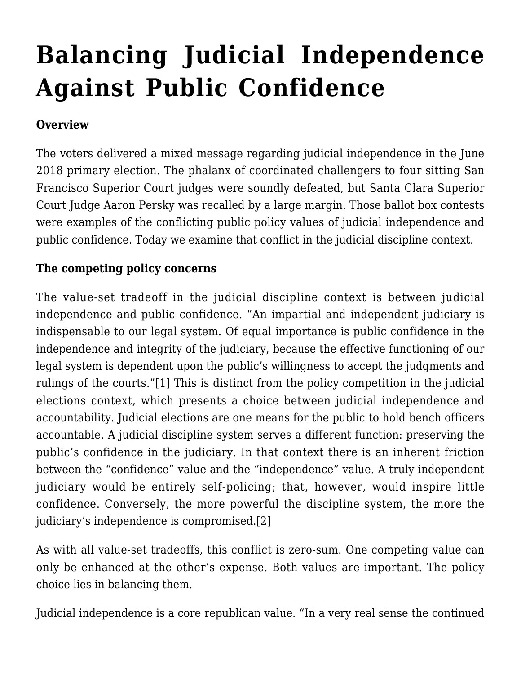# **[Balancing Judicial Independence](http://scocablog.com/balancing-judicial-independence-against-public-confidence/) [Against Public Confidence](http://scocablog.com/balancing-judicial-independence-against-public-confidence/)**

## **Overview**

The voters delivered a mixed message regarding judicial independence in the June 2018 primary election. The phalanx of coordinated challengers to four sitting San Francisco Superior Court judges were soundly defeated, but Santa Clara Superior Court Judge Aaron Persky was recalled by a large margin. Those ballot box contests were examples of the conflicting public policy values of judicial independence and public confidence. Today we examine that conflict in the judicial discipline context.

### **The competing policy concerns**

<span id="page-0-0"></span>The value-set tradeoff in the judicial discipline context is between judicial independence and public confidence. "An impartial and independent judiciary is indispensable to our legal system. Of equal importance is public confidence in the independence and integrity of the judiciary, because the effective functioning of our legal system is dependent upon the public's willingness to accept the judgments and rulings of the courts."[\[1\]](#page-7-0) This is distinct from the policy competition in [the judicial](http://scocablog.com/what-does-californias-experience-with-recall-of-judges-teach-us/) [elections context,](http://scocablog.com/what-does-californias-experience-with-recall-of-judges-teach-us/) which presents a choice between judicial independence and accountability. Judicial elections are one means for the public to hold bench officers accountable. A judicial discipline system serves a different function: preserving the public's confidence in the judiciary. In that context there is an inherent friction between the "confidence" value and the "independence" value. A truly independent judiciary would be entirely self-policing; that, however, would inspire little confidence. Conversely, the more powerful the discipline system, the more the judiciary's independence is compromised[.\[2\]](#page-7-1)

<span id="page-0-1"></span>As with all value-set tradeoffs, this conflict is zero-sum. One competing value can only be enhanced at the other's expense. Both values are important. The policy choice lies in balancing them.

<span id="page-0-2"></span>Judicial independence is a core republican value. "In a very real sense the continued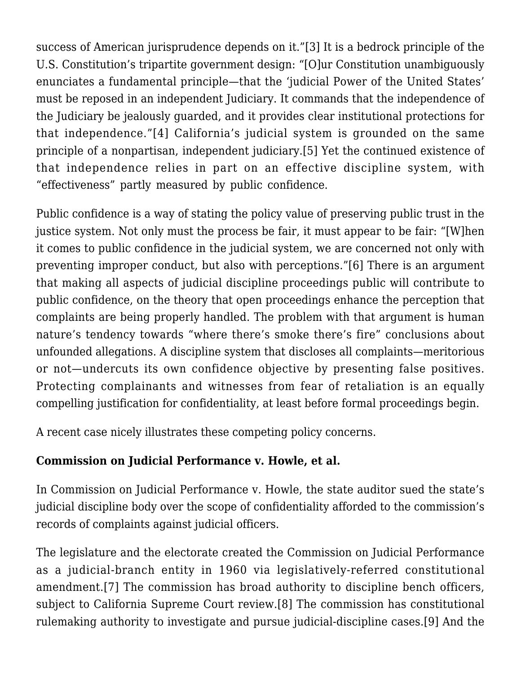success of American jurisprudence depends on it."[\[3\]](#page-8-0) It is a bedrock principle of the U.S. Constitution's tripartite government design: "[O]ur Constitution unambiguously enunciates a fundamental principle—that the 'judicial Power of the United States' must be reposed in an independent Judiciary. It commands that the independence of the Judiciary be jealously guarded, and it provides clear institutional protections for that independence."[\[4\]](#page-8-1) California's judicial system is grounded on the same principle of a nonpartisan, independent judiciary.[\[5\]](#page-8-2) Yet the continued existence of that independence relies in part on an effective discipline system, with "effectiveness" partly measured by public confidence.

<span id="page-1-2"></span><span id="page-1-1"></span><span id="page-1-0"></span>Public confidence is a way of stating the policy value of preserving public trust in the justice system. Not only must the process be fair, it must appear to be fair: "[W]hen it comes to public confidence in the judicial system, we are concerned not only with preventing improper conduct, but also with perceptions."[\[6\]](#page-8-3) There is an argument that making all aspects of judicial discipline proceedings public will contribute to public confidence, on the theory that open proceedings enhance the perception that complaints are being properly handled. The problem with that argument is human nature's tendency towards "where there's smoke there's fire" conclusions about unfounded allegations. A discipline system that discloses all complaints—meritorious or not—undercuts its own confidence objective by presenting false positives. Protecting complainants and witnesses from fear of retaliation is an equally compelling justification for confidentiality, at least before formal proceedings begin.

A recent case nicely illustrates these competing policy concerns.

## **Commission on Judicial Performance v. Howle, et al.**

In Commission on Judicial Performance v. Howle, the state auditor sued the state's judicial discipline body over the scope of confidentiality afforded to the commission's records of complaints against judicial officers.

<span id="page-1-5"></span><span id="page-1-4"></span><span id="page-1-3"></span>The legislature and the electorate created the Commission on Judicial Performance as a judicial-branch entity in 1960 via legislatively-referred constitutional amendment.[\[7\]](#page-8-4) The commission has broad authority to discipline bench officers, subject to California Supreme Court review[.\[8\]](#page-8-5) The commission has constitutional rulemaking authority to investigate and pursue judicial-discipline cases[.\[9\]](#page-8-6) And the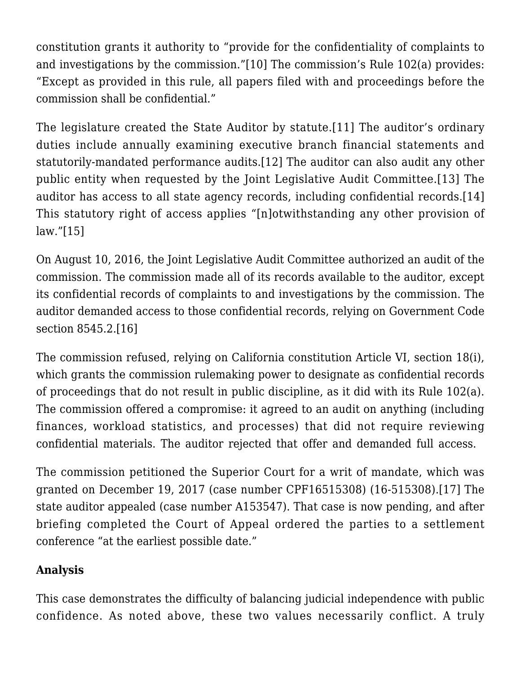<span id="page-2-0"></span>constitution grants it authority to "provide for the confidentiality of complaints to and investigations by the commission."[\[10\]](#page-8-7) The commission's Rule 102(a) provides: "Except as provided in this rule, all papers filed with and proceedings before the commission shall be confidential."

<span id="page-2-3"></span><span id="page-2-2"></span><span id="page-2-1"></span>The legislature created the State Auditor by statute.[\[11\]](#page-8-8) The auditor's ordinary duties include annually examining executive branch financial statements and statutorily-mandated performance audits.[\[12\]](#page-8-9) The auditor can also audit any other public entity when requested by the Joint Legislative Audit Committee.[\[13\]](#page-8-10) The auditor has access to all state agency records, including confidential records.[\[14\]](#page-9-0) This statutory right of access applies "[n]otwithstanding any other provision of law.["\[15\]](#page-9-1)

<span id="page-2-5"></span><span id="page-2-4"></span>On August 10, 2016, the Joint Legislative Audit Committee authorized an audit of the commission. The commission made all of its records available to the auditor, except its confidential records of complaints to and investigations by the commission. The auditor demanded access to those confidential records, relying on Government Code section 8545.2.[\[16\]](#page-9-2)

<span id="page-2-6"></span>The commission refused, relying on California constitution Article VI, section 18(i), which grants the commission rulemaking power to designate as confidential records of proceedings that do not result in public discipline, as it did with its Rule 102(a). The commission offered a compromise: it agreed to an audit on anything (including finances, workload statistics, and processes) that did not require reviewing confidential materials. The auditor rejected that offer and demanded full access.

<span id="page-2-7"></span>The commission petitioned the Superior Court for a writ of mandate, which was granted on December 19, 2017 (case number [CPF16515308\)](https://webapps.sftc.org/ci/CaseInfo.dll?CaseNum=CPF16515308&SessionID=DCC41205EFF1817B88835496F8E82C7270C2A7E0) ([16-515308](http://scocablog.com/wp-content/uploads/2018/07/16-515308.pdf)).[\[17\]](#page-10-0) The state auditor appealed (case number [A153547](http://appellatecases.courtinfo.ca.gov/search/case/dockets.cfm?dist=1&doc_id=2243643&doc_no=A153547&request_token=NiIwLSIkXkw5WzBdSCM9TE1JUEQ6UVxfJiIuUz5SQCAgCg%3D%3D)). That case is now pending, and after briefing completed the Court of Appeal ordered the parties to a settlement conference "at the earliest possible date."

### **Analysis**

This case demonstrates the difficulty of balancing judicial independence with public confidence. As noted above, these two values necessarily conflict. A truly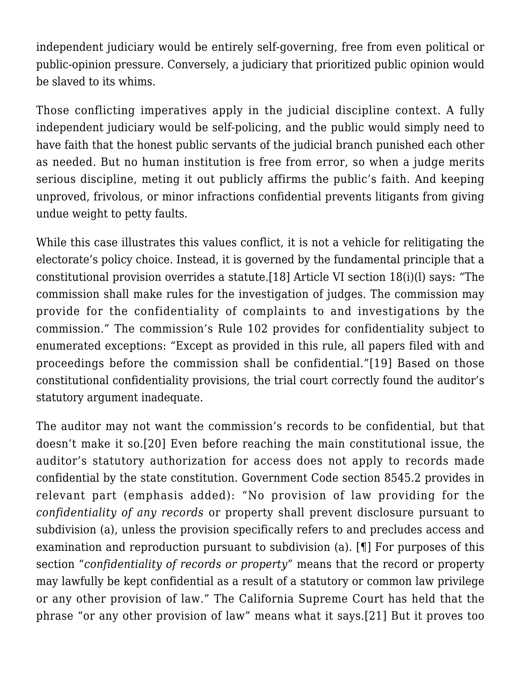independent judiciary would be entirely self-governing, free from even political or public-opinion pressure. Conversely, a judiciary that prioritized public opinion would be slaved to its whims.

Those conflicting imperatives apply in the judicial discipline context. A fully independent judiciary would be self-policing, and the public would simply need to have faith that the honest public servants of the judicial branch punished each other as needed. But no human institution is free from error, so when a judge merits serious discipline, meting it out publicly affirms the public's faith. And keeping unproved, frivolous, or minor infractions confidential prevents litigants from giving undue weight to petty faults.

<span id="page-3-0"></span>While this case illustrates this values conflict, it is not a vehicle for relitigating the electorate's policy choice. Instead, it is governed by the fundamental principle that a constitutional provision overrides a statute.[\[18\]](#page-10-1) Article VI section 18(i)(l) says: "The commission shall make rules for the investigation of judges. The commission may provide for the confidentiality of complaints to and investigations by the commission." The commission's Rule 102 provides for confidentiality subject to enumerated exceptions: "Except as provided in this rule, all papers filed with and proceedings before the commission shall be confidential."[\[19\]](#page-10-2) Based on those constitutional confidentiality provisions, the trial court correctly found the auditor's statutory argument inadequate.

<span id="page-3-3"></span><span id="page-3-2"></span><span id="page-3-1"></span>The auditor may not want the commission's records to be confidential, but that doesn't make it so.[\[20\]](#page-10-3) Even before reaching the main constitutional issue, the auditor's statutory authorization for access does not apply to records made confidential by the state constitution. Government Code section 8545.2 provides in relevant part (emphasis added): "No provision of law providing for the *confidentiality of any records* or property shall prevent disclosure pursuant to subdivision (a), unless the provision specifically refers to and precludes access and examination and reproduction pursuant to subdivision (a). [¶] For purposes of this section "*confidentiality of records or property*" means that the record or property may lawfully be kept confidential as a result of a statutory or common law privilege or any other provision of law." The California Supreme Court has held that the phrase "or any other provision of law" means what it says.[\[21\]](#page-10-4) But it proves too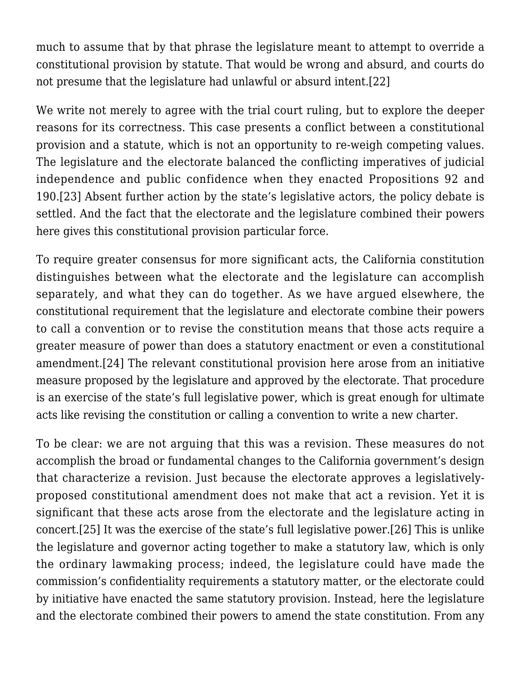much to assume that by that phrase the legislature meant to attempt to override a constitutional provision by statute. That would be wrong and absurd, and courts do not presume that the legislature had unlawful or absurd intent.[\[22\]](#page-11-0)

<span id="page-4-1"></span><span id="page-4-0"></span>We write not merely to agree with the trial court ruling, but to explore the deeper reasons for its correctness. This case presents a conflict between a constitutional provision and a statute, which is not an opportunity to re-weigh competing values. The legislature and the electorate balanced the conflicting imperatives of judicial independence and public confidence when they enacted Propositions 92 and 190.[\[23\]](#page-11-1) Absent further action by the state's legislative actors, the policy debate is settled. And the fact that the electorate and the legislature combined their powers here gives this constitutional provision particular force.

To require greater consensus for more significant acts, the California constitution distinguishes between what the electorate and the legislature can accomplish separately, and what they can do together. As we have argued elsewhere, the constitutional requirement that the legislature and electorate combine their powers to call a convention or to revise the constitution means that those acts require a greater measure of power than does a statutory enactment or even a constitutional amendment.[\[24\]](#page-11-2) The relevant constitutional provision here arose from an initiative measure proposed by the legislature and approved by the electorate. That procedure is an exercise of the state's full legislative power, which is great enough for ultimate acts like revising the constitution or calling a convention to write a new charter.

<span id="page-4-3"></span><span id="page-4-2"></span>To be clear: we are not arguing that this was a revision. These measures do not accomplish the broad or fundamental changes to the California government's design that characterize a revision. Just because the electorate approves a legislativelyproposed constitutional amendment does not make that act a revision. Yet it is significant that these acts arose from the electorate and the legislature acting in concert[.\[25\]](#page-11-3) It was the exercise of the state's full legislative power.[\[26\]](#page-11-4) This is unlike the legislature and governor acting together to make a statutory law, which is only the ordinary lawmaking process; indeed, the legislature could have made the commission's confidentiality requirements a statutory matter, or the electorate could by initiative have enacted the same statutory provision. Instead, here the legislature and the electorate combined their powers to amend the state constitution. From any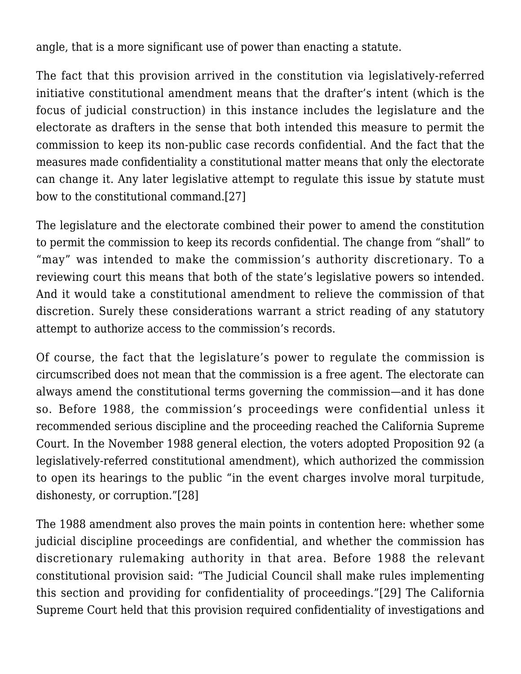angle, that is a more significant use of power than enacting a statute.

The fact that this provision arrived in the constitution via legislatively-referred initiative constitutional amendment means that the drafter's intent (which is the focus of judicial construction) in this instance includes the legislature and the electorate as drafters in the sense that both intended this measure to permit the commission to keep its non-public case records confidential. And the fact that the measures made confidentiality a constitutional matter means that only the electorate can change it. Any later legislative attempt to regulate this issue by statute must bow to the constitutional command[.\[27\]](#page-11-5)

<span id="page-5-0"></span>The legislature and the electorate combined their power to amend the constitution to permit the commission to keep its records confidential. The change from "shall" to "may" was intended to make the commission's authority discretionary. To a reviewing court this means that both of the state's legislative powers so intended. And it would take a constitutional amendment to relieve the commission of that discretion. Surely these considerations warrant a strict reading of any statutory attempt to authorize access to the commission's records.

Of course, the fact that the legislature's power to regulate the commission is circumscribed does not mean that the commission is a free agent. The electorate can always amend the constitutional terms governing the commission—and it has done so. Before 1988, the commission's proceedings were confidential unless it recommended serious discipline and the proceeding reached the California Supreme Court. In the November 1988 general election, the voters adopted Proposition 92 (a legislatively-referred constitutional amendment), which authorized the commission to open its hearings to the public "in the event charges involve moral turpitude, dishonesty, or corruption."[\[28\]](#page-11-6)

<span id="page-5-2"></span><span id="page-5-1"></span>The 1988 amendment also proves the main points in contention here: whether some judicial discipline proceedings are confidential, and whether the commission has discretionary rulemaking authority in that area. Before 1988 the relevant constitutional provision said: "The Judicial Council shall make rules implementing this section and providing for confidentiality of proceedings."[\[29\]](#page-12-0) The California Supreme Court held that this provision required confidentiality of investigations and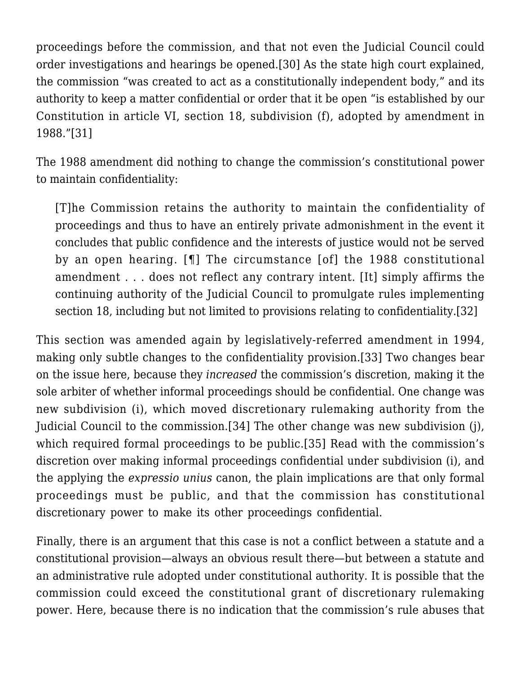<span id="page-6-0"></span>proceedings before the commission, and that not even the Judicial Council could order investigations and hearings be opened.[\[30\]](#page-12-1) As the state high court explained, the commission "was created to act as a constitutionally independent body," and its authority to keep a matter confidential or order that it be open "is established by our Constitution in article VI, section 18, subdivision (f), adopted by amendment in 1988.["\[31\]](#page-12-2)

<span id="page-6-1"></span>The 1988 amendment did nothing to change the commission's constitutional power to maintain confidentiality:

[T]he Commission retains the authority to maintain the confidentiality of proceedings and thus to have an entirely private admonishment in the event it concludes that public confidence and the interests of justice would not be served by an open hearing. [¶] The circumstance [of] the 1988 constitutional amendment . . . does not reflect any contrary intent. [It] simply affirms the continuing authority of the Judicial Council to promulgate rules implementing section 18, including but not limited to provisions relating to confidentiality.[\[32\]](#page-12-3)

<span id="page-6-4"></span><span id="page-6-3"></span><span id="page-6-2"></span>This section was amended again by legislatively-referred amendment in 1994, making only subtle changes to the confidentiality provision.[\[33\]](#page-12-4) Two changes bear on the issue here, because they *increased* the commission's discretion, making it the sole arbiter of whether informal proceedings should be confidential. One change was new subdivision (i), which moved discretionary rulemaking authority from the Judicial Council to the commission[.\[34\]](#page-12-5) The other change was new subdivision (j), which required formal proceedings to be public[.\[35\]](#page-12-6) Read with the commission's discretion over making informal proceedings confidential under subdivision (i), and the applying the *expressio unius* canon, the plain implications are that only formal proceedings must be public, and that the commission has constitutional discretionary power to make its other proceedings confidential.

<span id="page-6-5"></span>Finally, there is an argument that this case is not a conflict between a statute and a constitutional provision—always an obvious result there—but between a statute and an administrative rule adopted under constitutional authority. It is possible that the commission could exceed the constitutional grant of discretionary rulemaking power. Here, because there is no indication that the commission's rule abuses that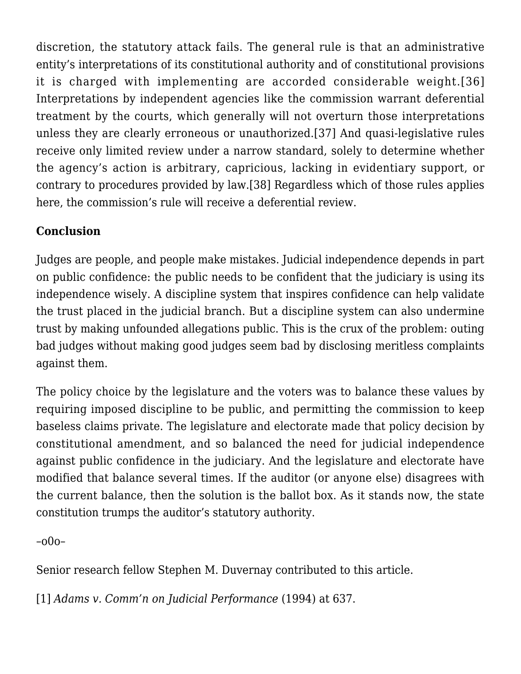<span id="page-7-3"></span><span id="page-7-2"></span>discretion, the statutory attack fails. The general rule is that an administrative entity's interpretations of its constitutional authority and of constitutional provisions it is charged with implementing are accorded considerable weight.[\[36\]](#page-12-7) Interpretations by independent agencies like the commission warrant deferential treatment by the courts, which generally will not overturn those interpretations unless they are clearly erroneous or unauthorized[.\[37\]](#page-12-8) And quasi-legislative rules receive only limited review under a narrow standard, solely to determine whether the agency's action is arbitrary, capricious, lacking in evidentiary support, or contrary to procedures provided by law[.\[38\]](#page-12-9) Regardless which of those rules applies here, the commission's rule will receive a deferential review.

## <span id="page-7-4"></span>**Conclusion**

Judges are people, and people make mistakes. Judicial independence depends in part on public confidence: the public needs to be confident that the judiciary is using its independence wisely. A discipline system that inspires confidence can help validate the trust placed in the judicial branch. But a discipline system can also undermine trust by making unfounded allegations public. This is the crux of the problem: outing bad judges without making good judges seem bad by disclosing meritless complaints against them.

The policy choice by the legislature and the voters was to balance these values by requiring imposed discipline to be public, and permitting the commission to keep baseless claims private. The legislature and electorate made that policy decision by constitutional amendment, and so balanced the need for judicial independence against public confidence in the judiciary. And the legislature and electorate have modified that balance several times. If the auditor (or anyone else) disagrees with the current balance, then the solution is the ballot box. As it stands now, the state constitution trumps the auditor's statutory authority.

–o0o–

Senior research fellow Stephen M. Duvernay contributed to this article.

<span id="page-7-1"></span><span id="page-7-0"></span>[\[1\]](#page-0-0) *[Adams v. Comm'n on Judicial Performance](https://scholar.google.com/scholar_case?case=1092996602409616110&q=Adams+v.+Commission+on+Judicial+Performance+(1994)+8+Cal.4th+630,+637&hl=en&as_sdt=4,5)* (1994) at 637.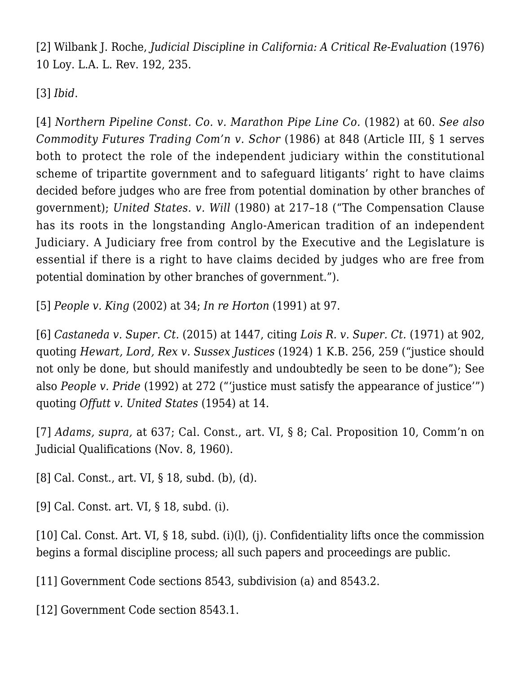[\[2\]](#page-0-1) Wilbank J. Roche, *Judicial Discipline in California: A Critical Re-Evaluation* (1976) 10 Loy. L.A. L. Rev. 192, 235.

<span id="page-8-0"></span>[\[3\]](#page-0-2) *Ibid*.

<span id="page-8-1"></span>[\[4\]](#page-1-0) *[Northern Pipeline Const. Co. v. Marathon Pipe Line Co.](https://scholar.google.com/scholar_case?case=17768408304219861886&q=458+U.S.+50&hl=en&as_sdt=2006)* (1982) at 60. *See also [Commodity Futures Trading Com'n v. Schor](https://scholar.google.com/scholar_case?case=15282072966741545295&q=478+U.S.+833&hl=en&as_sdt=2006)* (1986) at 848 (Article III, § 1 serves both to protect the role of the independent judiciary within the constitutional scheme of tripartite government and to safeguard litigants' right to have claims decided before judges who are free from potential domination by other branches of government); *[United States. v. Will](https://scholar.google.com/scholar_case?case=17369464907088650858&q=449+U.S.+200&hl=en&as_sdt=2006)* (1980) at 217–18 ("The Compensation Clause has its roots in the longstanding Anglo-American tradition of an independent Judiciary. A Judiciary free from control by the Executive and the Legislature is essential if there is a right to have claims decided by judges who are free from potential domination by other branches of government.").

<span id="page-8-2"></span>[\[5\]](#page-1-1) *[People v. King](https://scholar.google.com/scholar_case?case=8399602434938436455&q=27+Cal.4th+29&hl=en&as_sdt=2006)* (2002) at 34; *[In re Horton](https://scholar.google.com/scholar_case?case=12957868809783177926&q=54+Cal.3d+82&hl=en&as_sdt=2006)* (1991) at 97.

<span id="page-8-3"></span>[\[6\]](#page-1-2) *[Castaneda v. Super. Ct.](https://scholar.google.com/scholar_case?case=2713098297992049428&q=237+Cal.App.4th+1434&hl=en&as_sdt=2006)* (2015) at 1447, citing *[Lois R. v. Super. Ct.](https://scholar.google.com/scholar_case?case=7364146644549843754&q=19+Cal.App.3d+895&hl=en&as_sdt=2006)* (1971) at 902, quoting *Hewart, Lord, Rex v. Sussex Justices* (1924) 1 K.B. 256, 259 ("justice should not only be done, but should manifestly and undoubtedly be seen to be done"); See also *[People v. Pride](https://scholar.google.com/scholar_case?case=3473142980369990145&q=3+Cal.4th+195&hl=en&as_sdt=2006)* (1992) at 272 ("'justice must satisfy the appearance of justice'") quoting *[Offutt v. United States](https://scholar.google.com/scholar_case?case=15348771758421925949&q=348+U.S.+11&hl=en&as_sdt=2006)* (1954) at 14.

<span id="page-8-4"></span>[\[7\]](#page-1-3) *[Adams](https://scholar.google.com/scholar_case?case=1092996602409616110&q=Adams+v.+Commission+on+Judicial+Performance+(1994)+8+Cal.4th+630,+637&hl=en&as_sdt=4,5), supra,* at 637; Cal. Const., art. VI, § 8; Cal. Proposition 10, Comm'n on Judicial Qualifications (Nov. 8, 1960).

<span id="page-8-5"></span>[\[8\]](#page-1-4) Cal. Const., art. VI, § 18, subd. (b), (d).

<span id="page-8-6"></span>[\[9\]](#page-1-5) Cal. Const. art. VI, § 18, subd. (i).

<span id="page-8-7"></span>[\[10\]](#page-2-0) Cal. Const. Art. VI, § 18, subd. (i)(l), (j). Confidentiality lifts once the commission begins a formal discipline process; all such papers and proceedings are public.

<span id="page-8-8"></span>[\[11\]](#page-2-1) Government Code sections 8543, subdivision (a) and 8543.2.

<span id="page-8-10"></span><span id="page-8-9"></span>[\[12\]](#page-2-2) Government Code section 8543.1.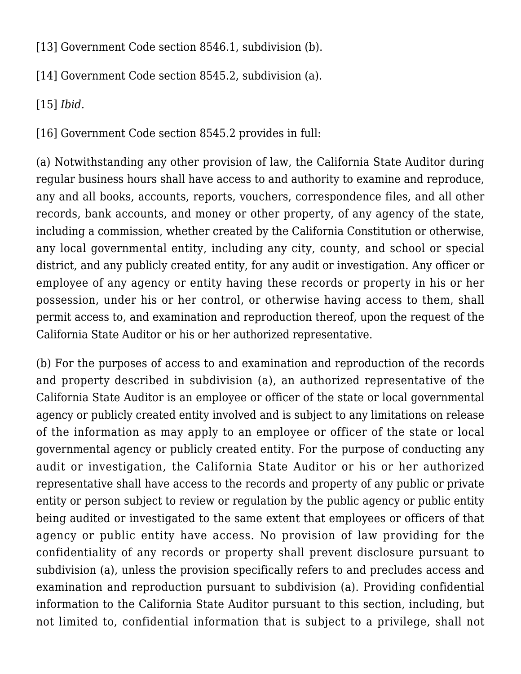[\[13\]](#page-2-3) Government Code section 8546.1, subdivision (b).

<span id="page-9-0"></span>[\[14\]](#page-2-4) Government Code section 8545.2, subdivision (a).

<span id="page-9-1"></span>[\[15\]](#page-2-5) *Ibid*.

<span id="page-9-2"></span>[\[16\]](#page-2-6) Government Code section 8545.2 provides in full:

(a) Notwithstanding any other provision of law, the California State Auditor during regular business hours shall have access to and authority to examine and reproduce, any and all books, accounts, reports, vouchers, correspondence files, and all other records, bank accounts, and money or other property, of any agency of the state, including a commission, whether created by the California Constitution or otherwise, any local governmental entity, including any city, county, and school or special district, and any publicly created entity, for any audit or investigation. Any officer or employee of any agency or entity having these records or property in his or her possession, under his or her control, or otherwise having access to them, shall permit access to, and examination and reproduction thereof, upon the request of the California State Auditor or his or her authorized representative.

(b) For the purposes of access to and examination and reproduction of the records and property described in subdivision (a), an authorized representative of the California State Auditor is an employee or officer of the state or local governmental agency or publicly created entity involved and is subject to any limitations on release of the information as may apply to an employee or officer of the state or local governmental agency or publicly created entity. For the purpose of conducting any audit or investigation, the California State Auditor or his or her authorized representative shall have access to the records and property of any public or private entity or person subject to review or regulation by the public agency or public entity being audited or investigated to the same extent that employees or officers of that agency or public entity have access. No provision of law providing for the confidentiality of any records or property shall prevent disclosure pursuant to subdivision (a), unless the provision specifically refers to and precludes access and examination and reproduction pursuant to subdivision (a). Providing confidential information to the California State Auditor pursuant to this section, including, but not limited to, confidential information that is subject to a privilege, shall not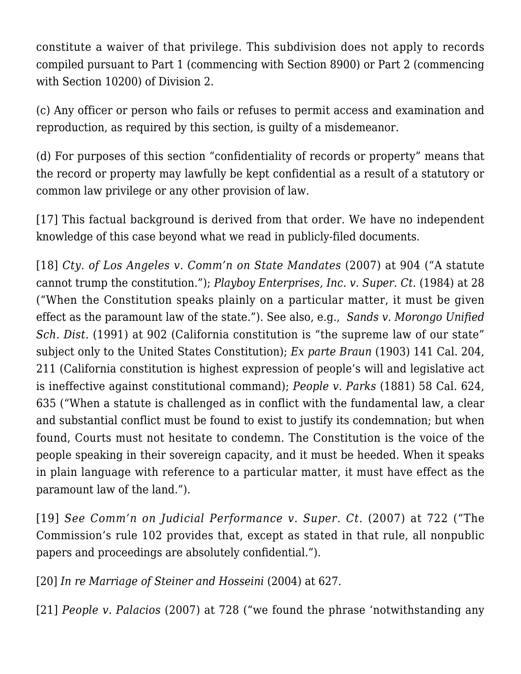constitute a waiver of that privilege. This subdivision does not apply to records compiled pursuant to Part 1 (commencing with Section 8900) or Part 2 (commencing with Section 10200) of Division 2.

(c) Any officer or person who fails or refuses to permit access and examination and reproduction, as required by this section, is guilty of a misdemeanor.

(d) For purposes of this section "confidentiality of records or property" means that the record or property may lawfully be kept confidential as a result of a statutory or common law privilege or any other provision of law.

<span id="page-10-0"></span>[\[17\]](#page-2-7) This factual background is derived from that order. We have no independent knowledge of this case beyond what we read in publicly-filed documents.

<span id="page-10-1"></span>[\[18\]](#page-3-0) *[Cty. of Los Angeles v. Comm'n on State Mandates](https://scholar.google.com/scholar_case?case=15268088478321520788&q=150+Cal.App.4th+898&hl=en&as_sdt=4,5)* (2007) at 904 ("A statute cannot trump the constitution."); *[Playboy Enterprises, Inc. v. Super. Ct](https://scholar.google.com/scholar_case?case=12804984810484256036&q=154+Cal.App.3d+14&hl=en&as_sdt=4,5).* (1984) at 28 ("When the Constitution speaks plainly on a particular matter, it must be given effect as the paramount law of the state."). See also, e.g., *[Sands v. Morongo Unified](https://scholar.google.com/scholar_case?case=14992665772597593310&q=53+Cal.3d+863&hl=en&as_sdt=4,5) [Sch. Dist.](https://scholar.google.com/scholar_case?case=14992665772597593310&q=53+Cal.3d+863&hl=en&as_sdt=4,5)* (1991) at 902 (California constitution is "the supreme law of our state" subject only to the United States Constitution); *Ex parte Braun* (1903) 141 Cal. 204, 211 (California constitution is highest expression of people's will and legislative act is ineffective against constitutional command); *People v. Parks* (1881) 58 Cal. 624, 635 ("When a statute is challenged as in conflict with the fundamental law, a clear and substantial conflict must be found to exist to justify its condemnation; but when found, Courts must not hesitate to condemn. The Constitution is the voice of the people speaking in their sovereign capacity, and it must be heeded. When it speaks in plain language with reference to a particular matter, it must have effect as the paramount law of the land.").

<span id="page-10-2"></span>[\[19\]](#page-3-1) *See [Comm'n on Judicial Performance v. Super. Ct](https://scholar.google.com/scholar_case?case=12884213276959871347&q=156+Cal.App.4th+617&hl=en&as_sdt=4,5).* (2007) at 722 ("The Commission's rule 102 provides that, except as stated in that rule, all nonpublic papers and proceedings are absolutely confidential.").

<span id="page-10-3"></span>[\[20\]](#page-3-2) *[In re Marriage of Steiner and Hosseini](https://scholar.google.com/scholar_case?case=8899061808223844337&q=117+Cal.App.4th+519&hl=en&as_sdt=4,5)* (2004) at 627.

<span id="page-10-4"></span>[\[21\]](#page-3-3) *[People v. Palacios](https://scholar.google.com/scholar_case?case=2660467391583554714&q=41+Cal.4th+720&hl=en&as_sdt=4,5)* (2007) at 728 ("we found the phrase 'notwithstanding any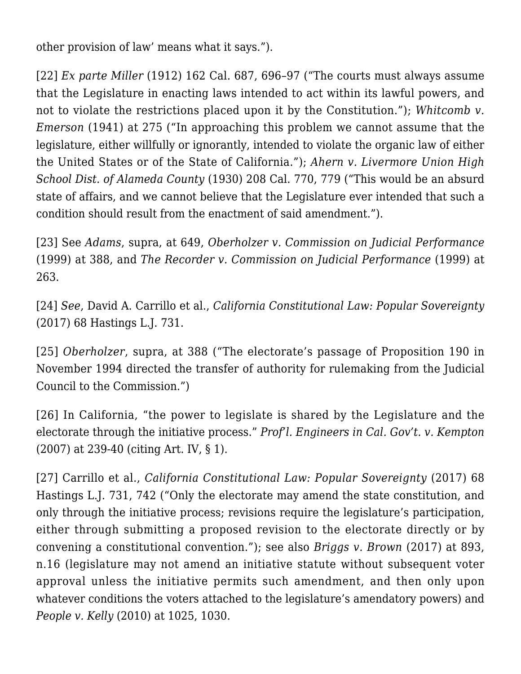other provision of law' means what it says.").

<span id="page-11-0"></span>[\[22\]](#page-4-0) *Ex parte Miller* (1912) 162 Cal. 687, 696–97 ("The courts must always assume that the Legislature in enacting laws intended to act within its lawful powers, and not to violate the restrictions placed upon it by the Constitution."); *[Whitcomb v.](https://scholar.google.com/scholar_case?case=4768277990269300314&q=46+Cal.App.2d+263&hl=en&as_sdt=4,5&as_ylo=1903&as_yhi=1970) [Emerson](https://scholar.google.com/scholar_case?case=4768277990269300314&q=46+Cal.App.2d+263&hl=en&as_sdt=4,5&as_ylo=1903&as_yhi=1970)* (1941) at 275 ("In approaching this problem we cannot assume that the legislature, either willfully or ignorantly, intended to violate the organic law of either the United States or of the State of California."); *Ahern v. Livermore Union High School Dist. of Alameda County* (1930) 208 Cal. 770, 779 ("This would be an absurd state of affairs, and we cannot believe that the Legislature ever intended that such a condition should result from the enactment of said amendment.").

<span id="page-11-1"></span>[\[23\]](#page-4-1) See *[Adams](https://scholar.google.com/scholar_case?case=1092996602409616110&q=Adams+v.+Commission+on+Judicial+Performance+(1994)+8+Cal.4th+630,+637&hl=en&as_sdt=4,5)*, supra, at 649, *[Oberholzer v. Commission on Judicial Performance](https://scholar.google.com/scholar_case?case=432230385552043549&q=20+Cal.4th+371,&hl=en&as_sdt=2006)* (1999) at 388, and *[The Recorder v. Commission on Judicial Performance](https://scholar.google.com/scholar_case?case=3233803566406165213&q=72+Cal.App.4th+258&hl=en&as_sdt=2006)* (1999) at 263.

<span id="page-11-2"></span>[\[24\]](#page-4-2) *See*, David A. Carrillo et al., *California Constitutional Law: Popular Sovereignty* (2017) 68 Hastings L.J. 731.

<span id="page-11-3"></span>[\[25\]](#page-4-3) *[Oberholzer](https://scholar.google.com/scholar_case?case=432230385552043549&q=20+Cal.4th+371,&hl=en&as_sdt=2006)*, supra, at 388 ("The electorate's passage of Proposition 190 in November 1994 directed the transfer of authority for rulemaking from the Judicial Council to the Commission.")

<span id="page-11-4"></span>[\[26\]](#page-4-3) In California, "the power to legislate is shared by the Legislature and the electorate through the initiative process." *[Prof'l. Engineers in Cal. Gov't. v. Kempton](https://scholar.google.com/scholar_case?case=11582858172152165605&q=155+P.3d+226&hl=en&as_sdt=2006)* (2007) at 239-40 (citing Art. IV, § 1).

<span id="page-11-6"></span><span id="page-11-5"></span>[\[27\]](#page-5-0) Carrillo et al., *California Constitutional Law: Popular Sovereignty* (2017) 68 Hastings L.J. 731, 742 ("Only the electorate may amend the state constitution, and only through the initiative process; revisions require the legislature's participation, either through submitting a proposed revision to the electorate directly or by convening a constitutional convention."); see also *[Briggs v. Brown](https://scholar.google.com/scholar_case?case=858254192927452095&q=3+Cal.5th+808&hl=en&as_sdt=2006)* (2017) at 893, n.16 (legislature may not amend an initiative statute without subsequent voter approval unless the initiative permits such amendment, and then only upon whatever conditions the voters attached to the legislature's amendatory powers) and *[People v. Kelly](https://scholar.google.com/scholar_case?case=7501448136904241443&q=47+Cal.4th+1008&hl=en&as_sdt=2006)* (2010) at 1025, 1030.